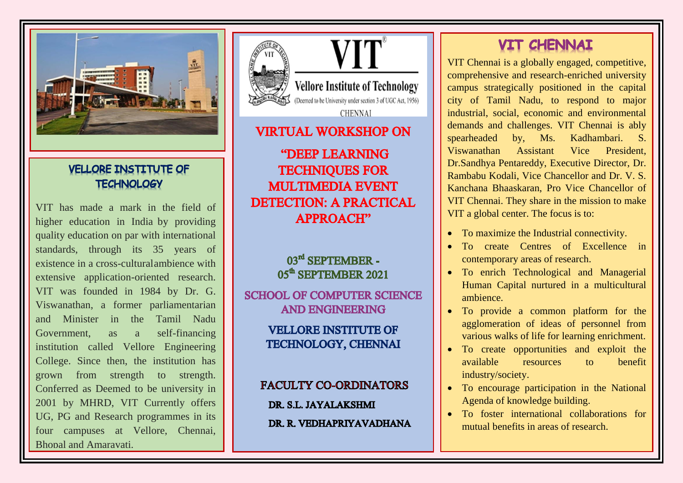

# **VELLORE INSTITUTE OF TECHNOLOGY**

VIT has made a mark in the field of higher education in India by providing quality education on par with international standards, through its 35 years of existence in a cross -culturalambience with extensive application -oriented research. VIT was founded in 1984 by Dr. G. Viswanathan, a former parliamentarian and Minister in the Tamil Nadu Government, as a self-financing institution called Vellore Engineering College. Since then, the institution has grown from strength to strength. Conferred as Deemed to be university in 2001 by MHRD, VIT Currently offers UG, PG and Research programmes in its four campuses at Vellore, Chennai, Bhopal and Amaravati.





# **VIRTUAL WORKSHOP ON**

**"DEEP LEARNING TECHNIOUES FOR MULTIMEDIA EVENT DETECTION: A PRACTICAL APPROACH"** 

# 03rd SEPTEMBER -05<sup>th</sup> SEPTEMBER 2021

**SCHOOL OF COMPUTER SCIENCE AND ENGINEERING** 

> **VELLORE INSTITUTE OF TECHNOLOGY, CHENNAI**

**FACULTY CO-ORDINATORS** DR. S.L. JAYALAKSHMI DR. R. VEDHAPRIYAVADHANA

# **VIT CHENNAI**

VIT Chennai is a globally engaged, competitive, comprehensive and research -enriched university campus strategically positioned in the capital city of Tamil Nadu, to respond to major industrial, social, economic and environmental demands and challenges. VIT Chennai is ably spearheaded by, Ms. Kadhambari. S. Viswanathan Assistant Vice President, Dr.Sandhya Pentareddy, Executive Director, Dr. Rambabu Kodali, Vice Chancellor and Dr. V. S. Kanchana Bhaaskaran, Pro Vice Chancellor of VIT Chennai. They share in the mission to make VIT a global center. The focus is to:

- To maximize the Industrial connectivity .
- To create Centres of Excellence in contemporary areas of research .
- To enrich Technological and Managerial Human Capital nurtured in a multicultural ambience .
- To provide a common platform for the agglomeration of ideas of personnel from various walks of life for learning enrichment .
- To create opportunities and exploit the available resources to benefit industry/society .
- To encourage participation in the National Agenda of knowledge building .
- To foster international collaborations for mutual benefits in areas of research.